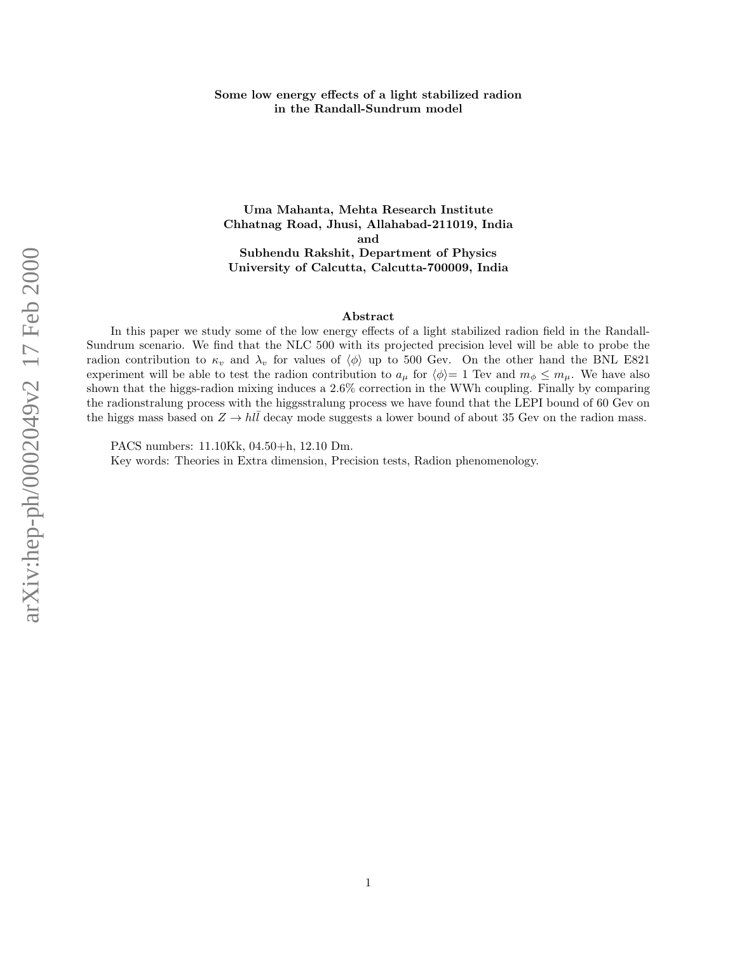# Some low energy effects of a light stabilized radion in the Randall-Sundrum model

Uma Mahanta, Mehta Research Institute Chhatnag Road, Jhusi, Allahabad-211019, India and Subhendu Rakshit, Department of Physics University of Calcutta, Calcutta-700009, India

## Abstract

In this paper we study some of the low energy effects of a light stabilized radion field in the Randall-Sundrum scenario. We find that the NLC 500 with its projected precision level will be able to probe the radion contribution to  $\kappa_v$  and  $\lambda_v$  for values of  $\langle \phi \rangle$  up to 500 Gev. On the other hand the BNL E821 experiment will be able to test the radion contribution to  $a_{\mu}$  for  $\langle \phi \rangle = 1$  Tev and  $m_{\phi} \leq m_{\mu}$ . We have also shown that the higgs-radion mixing induces a 2.6% correction in the WWh coupling. Finally by comparing the radionstralung process with the higgsstralung process we have found that the LEPI bound of 60 Gev on the higgs mass based on  $Z \to h l \bar{l}$  decay mode suggests a lower bound of about 35 Gev on the radion mass.

PACS numbers: 11.10Kk, 04.50+h, 12.10 Dm.

Key words: Theories in Extra dimension, Precision tests, Radion phenomenology.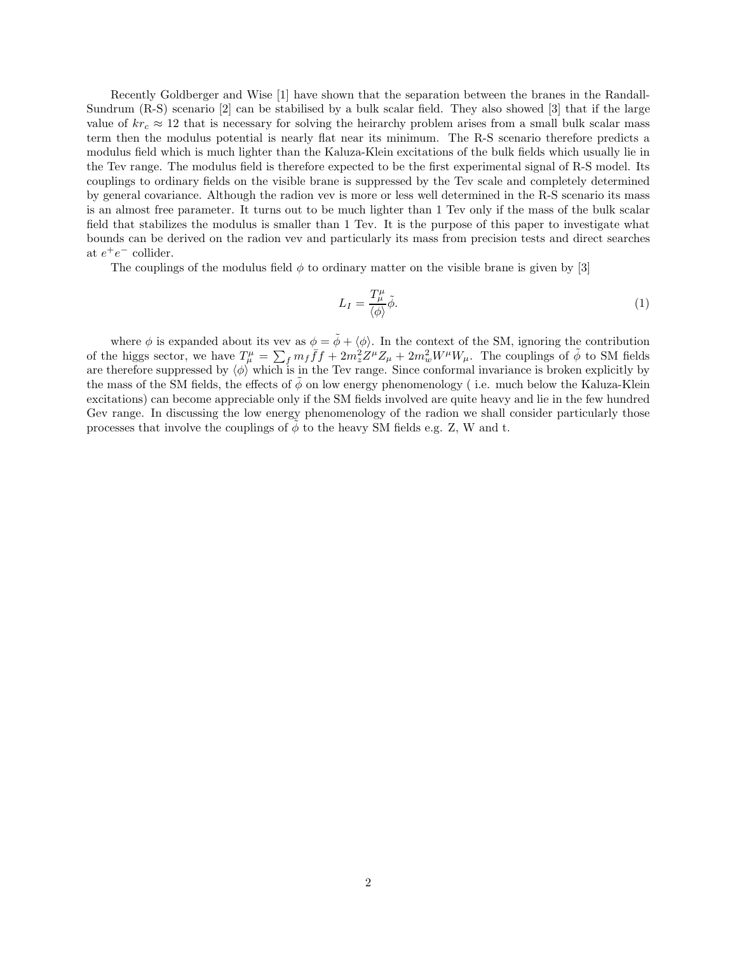Recently Goldberger and Wise [1] have shown that the separation between the branes in the Randall-Sundrum (R-S) scenario [2] can be stabilised by a bulk scalar field. They also showed [3] that if the large value of  $kr_c \approx 12$  that is necessary for solving the heirarchy problem arises from a small bulk scalar mass term then the modulus potential is nearly flat near its minimum. The R-S scenario therefore predicts a modulus field which is much lighter than the Kaluza-Klein excitations of the bulk fields which usually lie in the Tev range. The modulus field is therefore expected to be the first experimental signal of R-S model. Its couplings to ordinary fields on the visible brane is suppressed by the Tev scale and completely determined by general covariance. Although the radion vev is more or less well determined in the R-S scenario its mass is an almost free parameter. It turns out to be much lighter than 1 Tev only if the mass of the bulk scalar field that stabilizes the modulus is smaller than 1 Tev. It is the purpose of this paper to investigate what bounds can be derived on the radion vev and particularly its mass from precision tests and direct searches at  $e^+e^-$  collider.

The couplings of the modulus field  $\phi$  to ordinary matter on the visible brane is given by [3]

$$
L_I = \frac{T^{\mu}_{\mu}}{\langle \phi \rangle} \tilde{\phi}.
$$
 (1)

where  $\phi$  is expanded about its vev as  $\phi = \tilde{\phi} + \langle \phi \rangle$ . In the context of the SM, ignoring the contribution of the higgs sector, we have  $T^{\mu}_{\mu} = \sum_f m_f \bar{f} f + 2m_z^2 Z^{\mu} Z_{\mu} + 2m_w^2 W^{\mu} W_{\mu}$ . The couplings of  $\tilde{\phi}$  to SM fields are therefore suppressed by  $\langle \phi \rangle$  which is in the Tev range. Since conformal invariance is broken explicitly by the mass of the SM fields, the effects of  $\phi$  on low energy phenomenology (i.e. much below the Kaluza-Klein excitations) can become appreciable only if the SM fields involved are quite heavy and lie in the few hundred Gev range. In discussing the low energy phenomenology of the radion we shall consider particularly those processes that involve the couplings of  $\phi$  to the heavy SM fields e.g. Z, W and t.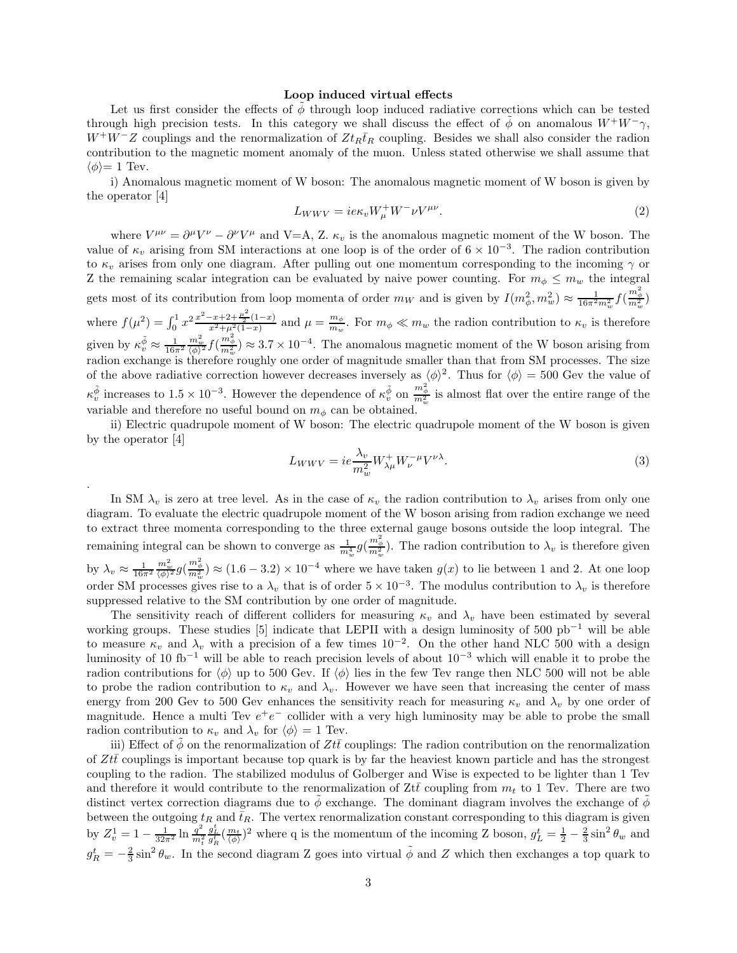#### Loop induced virtual effects

Let us first consider the effects of  $\phi$  through loop induced radiative corrections which can be tested through high precision tests. In this category we shall discuss the effect of  $\phi$  on anomalous  $W^+W^-\gamma$ ,  $W^+W^-Z$  couplings and the renormalization of  $Zt_R\bar{t}_R$  coupling. Besides we shall also consider the radion contribution to the magnetic moment anomaly of the muon. Unless stated otherwise we shall assume that  $\langle \phi \rangle = 1$  Tev.

i) Anomalous magnetic moment of W boson: The anomalous magnetic moment of W boson is given by the operator [4]

$$
L_{WWV} = i e \kappa_v W^+_\mu W^- \nu V^{\mu\nu}.
$$
\n<sup>(2)</sup>

where  $V^{\mu\nu} = \partial^{\mu}V^{\nu} - \partial^{\nu}V^{\mu}$  and V=A, Z.  $\kappa_{\nu}$  is the anomalous magnetic moment of the W boson. The value of  $\kappa_v$  arising from SM interactions at one loop is of the order of  $6 \times 10^{-3}$ . The radion contribution to  $\kappa_v$  arises from only one diagram. After pulling out one momentum corresponding to the incoming  $\gamma$  or Z the remaining scalar integration can be evaluated by naive power counting. For  $m_{\phi} \leq m_{w}$  the integral gets most of its contribution from loop momenta of order  $m_W$  and is given by  $I(m_\phi^2, m_w^2) \approx \frac{1}{16\pi^2 m_w^2} f(\frac{m_\phi^2}{m_w^2})$  $w$   $\cdots$   $w$ where  $f(\mu^2) = \int_0^1 x^2 \frac{x^2 - x + 2 + \frac{\mu^2}{2}(1-x)}{x^2 + \mu^2(1-x)}$  and  $\mu = \frac{m_\phi}{m_w}$  $\frac{m_{\phi}}{m_{w}}$ . For  $m_{\phi} \ll m_{w}$  the radion contribution to  $\kappa_{v}$  is therefore given by  $\kappa_v^{\tilde{\phi}} \approx \frac{1}{16\pi^2}$  $\frac{m_w^2}{(\phi)^2} f(\frac{m_\phi^2}{m_w^2}) \approx 3.7 \times 10^{-4}$ . The anomalous magnetic moment of the W boson arising from radion exchange is therefore roughly one order of magnitude smaller than that from SM processes. The size of the above radiative correction however decreases inversely as  $\langle \phi \rangle^2$ . Thus for  $\langle \phi \rangle = 500$  Gev the value of  $\kappa_v^{\tilde{\phi}}$  increases to  $1.5 \times 10^{-3}$ . However the dependence of  $\kappa_v^{\tilde{\phi}}$  on  $\frac{m_\phi^2}{m_w^2}$  is almost flat over the entire range of the variable and therefore no useful bound on  $m_{\phi}$  can be obtained.

ii) Electric quadrupole moment of W boson: The electric quadrupole moment of the W boson is given by the operator [4]

.

$$
L_{WWV} = ie \frac{\lambda_v}{m_w^2} W_{\lambda\mu}^+ W_{\nu}^{-\mu} V^{\nu\lambda}.
$$
\n(3)

In SM  $\lambda_v$  is zero at tree level. As in the case of  $\kappa_v$  the radion contribution to  $\lambda_v$  arises from only one diagram. To evaluate the electric quadrupole moment of the W boson arising from radion exchange we need to extract three momenta corresponding to the three external gauge bosons outside the loop integral. The remaining integral can be shown to converge as  $\frac{1}{m_w^4} g(\frac{m_\phi^2}{m_w^2})$ . The radion contribution to  $\lambda_v$  is therefore given by  $\lambda_v \approx \frac{1}{16\pi^2}$  $\frac{m_w^2}{(\phi)^2} g(\frac{m_\phi^2}{m_w^2}) \approx (1.6 - 3.2) \times 10^{-4}$  where we have taken  $g(x)$  to lie between 1 and 2. At one loop order SM processes gives rise to a  $\lambda_v$  that is of order  $5 \times 10^{-3}$ . The modulus contribution to  $\lambda_v$  is therefore suppressed relative to the SM contribution by one order of magnitude.

The sensitivity reach of different colliders for measuring  $\kappa_v$  and  $\lambda_v$  have been estimated by several working groups. These studies [5] indicate that LEPII with a design luminosity of 500 pb−<sup>1</sup> will be able to measure  $\kappa_v$  and  $\lambda_v$  with a precision of a few times 10<sup>-2</sup>. On the other hand NLC 500 with a design luminosity of 10 fb−<sup>1</sup> will be able to reach precision levels of about 10−<sup>3</sup> which will enable it to probe the radion contributions for  $\langle \phi \rangle$  up to 500 Gev. If  $\langle \phi \rangle$  lies in the few Tev range then NLC 500 will not be able to probe the radion contribution to  $\kappa_v$  and  $\lambda_v$ . However we have seen that increasing the center of mass energy from 200 Gev to 500 Gev enhances the sensitivity reach for measuring  $\kappa_v$  and  $\lambda_v$  by one order of magnitude. Hence a multi Tev  $e^+e^-$  collider with a very high luminosity may be able to probe the small radion contribution to  $\kappa_v$  and  $\lambda_v$  for  $\langle \phi \rangle = 1$  Tev.

iii) Effect of  $\phi$  on the renormalization of  $Zt\bar{t}$  couplings: The radion contribution on the renormalization of  $Zt\bar{t}$  couplings is important because top quark is by far the heaviest known particle and has the strongest coupling to the radion. The stabilized modulus of Golberger and Wise is expected to be lighter than 1 Tev and therefore it would contribute to the renormalization of  $Zt\bar{t}$  coupling from  $m_t$  to 1 Tev. There are two distinct vertex correction diagrams due to  $\phi$  exchange. The dominant diagram involves the exchange of  $\phi$ between the outgoing  $t_R$  and  $\bar{t}_R$ . The vertex renormalization constant corresponding to this diagram is given by  $Z_v^1 = 1 - \frac{1}{32\pi^2} \ln \frac{q^2}{m_v^2}$  $\hat{m}_t^2$  $\frac{g_L^t}{g_R^t}(\frac{m_t}{\langle \phi \rangle})^2$  where q is the momentum of the incoming Z boson,  $g_L^t = \frac{1}{2} - \frac{2}{3} \sin^2 \theta_w$  and  $g_R^t = -\frac{2}{3}\sin^2\theta_w$ . In the second diagram Z goes into virtual  $\tilde{\phi}$  and Z which then exchanges a top quark to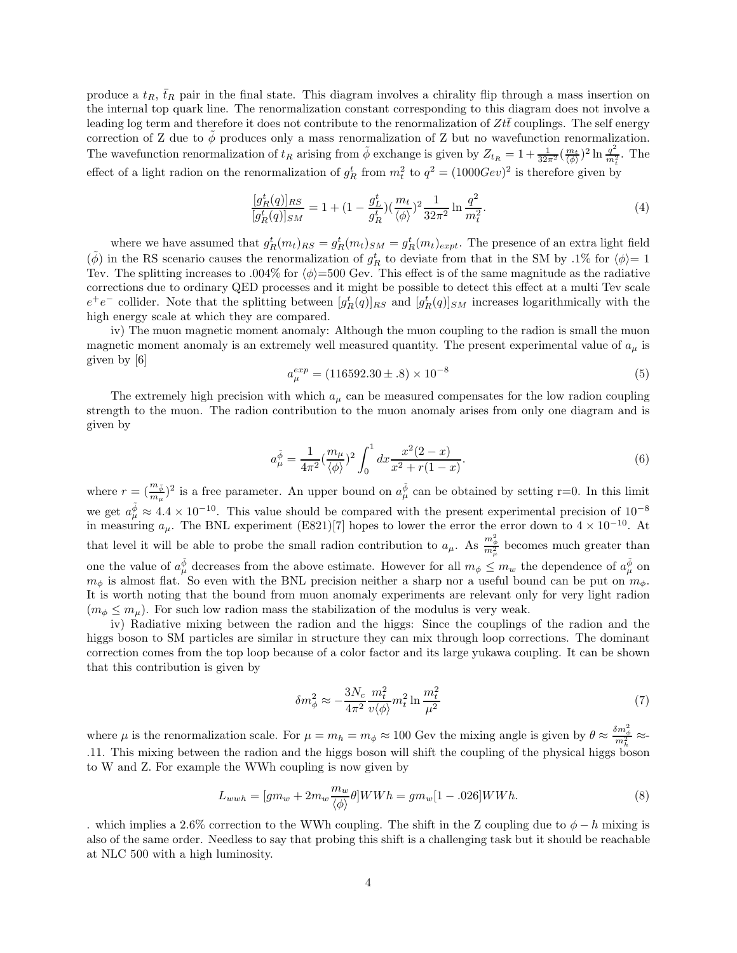produce a  $t_R$ ,  $\bar{t}_R$  pair in the final state. This diagram involves a chirality flip through a mass insertion on the internal top quark line. The renormalization constant corresponding to this diagram does not involve a leading log term and therefore it does not contribute to the renormalization of  $Ztt$  couplings. The self energy correction of Z due to  $\phi$  produces only a mass renormalization of Z but no wavefunction renormalization. The wavefunction renormalization of  $t_R$  arising from  $\phi$  exchange is given by  $Z_{t_R} = 1 + \frac{1}{32\pi^2} (\frac{m_t}{\langle \phi \rangle})^2 \ln \frac{q^2}{m_t^2}$  $\frac{q}{m_t^2}$ . The effect of a light radion on the renormalization of  $g_R^t$  from  $m_t^2$  to  $q^2 = (1000Gev)^2$  is therefore given by

$$
\frac{[g_R^t(q)]_{RS}}{[g_R^t(q)]_{SM}} = 1 + (1 - \frac{g_L^t}{g_R^t}) (\frac{m_t}{\langle \phi \rangle})^2 \frac{1}{32\pi^2} \ln \frac{q^2}{m_t^2}.
$$
\n(4)

where we have assumed that  $g_R^t(m_t)_{RS} = g_R^t(m_t)_{SM} = g_R^t(m_t)_{expt}$ . The presence of an extra light field  $(\tilde{\phi})$  in the RS scenario causes the renormalization of  $g_R^t$  to deviate from that in the SM by .1% for  $\langle \phi \rangle = 1$ Tev. The splitting increases to .004% for  $\langle \phi \rangle = 500$  Gev. This effect is of the same magnitude as the radiative corrections due to ordinary QED processes and it might be possible to detect this effect at a multi Tev scale  $e^+e^-$  collider. Note that the splitting between  $[g_R^t(q)]_{RS}$  and  $[g_R^t(q)]_{SM}$  increases logarithmically with the high energy scale at which they are compared.

iv) The muon magnetic moment anomaly: Although the muon coupling to the radion is small the muon magnetic moment anomaly is an extremely well measured quantity. The present experimental value of  $a_{\mu}$  is given by [6]

$$
a_{\mu}^{exp} = (116592.30 \pm .8) \times 10^{-8}
$$
\n(5)

The extremely high precision with which  $a_{\mu}$  can be measured compensates for the low radion coupling strength to the muon. The radion contribution to the muon anomaly arises from only one diagram and is given by

$$
a_{\mu}^{\tilde{\phi}} = \frac{1}{4\pi^2} \left(\frac{m_{\mu}}{\langle \phi \rangle}\right)^2 \int_0^1 dx \frac{x^2(2-x)}{x^2 + r(1-x)}.
$$
 (6)

where  $r = (\frac{m_{\tilde{\phi}}}{m_{\mu}})^2$  is a free parameter. An upper bound on  $a_{\mu}^{\tilde{\phi}}$  can be obtained by setting r=0. In this limit we get  $a_{\mu}^{\tilde{\phi}} \approx 4.4 \times 10^{-10}$ . This value should be compared with the present experimental precision of  $10^{-8}$ in measuring  $a_{\mu}$ . The BNL experiment (E821)[7] hopes to lower the error the error down to  $4 \times 10^{-10}$ . At that level it will be able to probe the small radion contribution to  $a_\mu$ . As  $\frac{m_\phi^2}{m_\mu^2}$  becomes much greater than one the value of  $a_{\mu}^{\tilde{\phi}}$  decreases from the above estimate. However for all  $m_{\phi} \leq m_{w}$  the dependence of  $a_{\mu}^{\tilde{\phi}}$  on  $m_{\phi}$  is almost flat. So even with the BNL precision neither a sharp nor a useful bound can be put on  $m_{\phi}$ . It is worth noting that the bound from muon anomaly experiments are relevant only for very light radion  $(m_{\phi} \leq m_{\mu})$ . For such low radion mass the stabilization of the modulus is very weak.

iv) Radiative mixing between the radion and the higgs: Since the couplings of the radion and the higgs boson to SM particles are similar in structure they can mix through loop corrections. The dominant correction comes from the top loop because of a color factor and its large yukawa coupling. It can be shown that this contribution is given by

$$
\delta m_{\phi}^2 \approx -\frac{3N_c}{4\pi^2} \frac{m_t^2}{v \langle \phi \rangle} m_t^2 \ln \frac{m_t^2}{\mu^2}
$$
\n<sup>(7)</sup>

where  $\mu$  is the renormalization scale. For  $\mu = m_h = m_\phi \approx 100$  Gev the mixing angle is given by  $\theta \approx \frac{\delta m_\phi^2}{m_h^2} \approx$ .11. This mixing between the radion and the higgs boson will shift the coupling of the physical higgs boson to W and Z. For example the WWh coupling is now given by

$$
L_{wwh} = [gm_w + 2m_w \frac{m_w}{\langle \phi \rangle} \theta] WWh = gm_w[1 - .026] WWh. \tag{8}
$$

. which implies a 2.6% correction to the WWh coupling. The shift in the Z coupling due to  $\phi - h$  mixing is also of the same order. Needless to say that probing this shift is a challenging task but it should be reachable at NLC 500 with a high luminosity.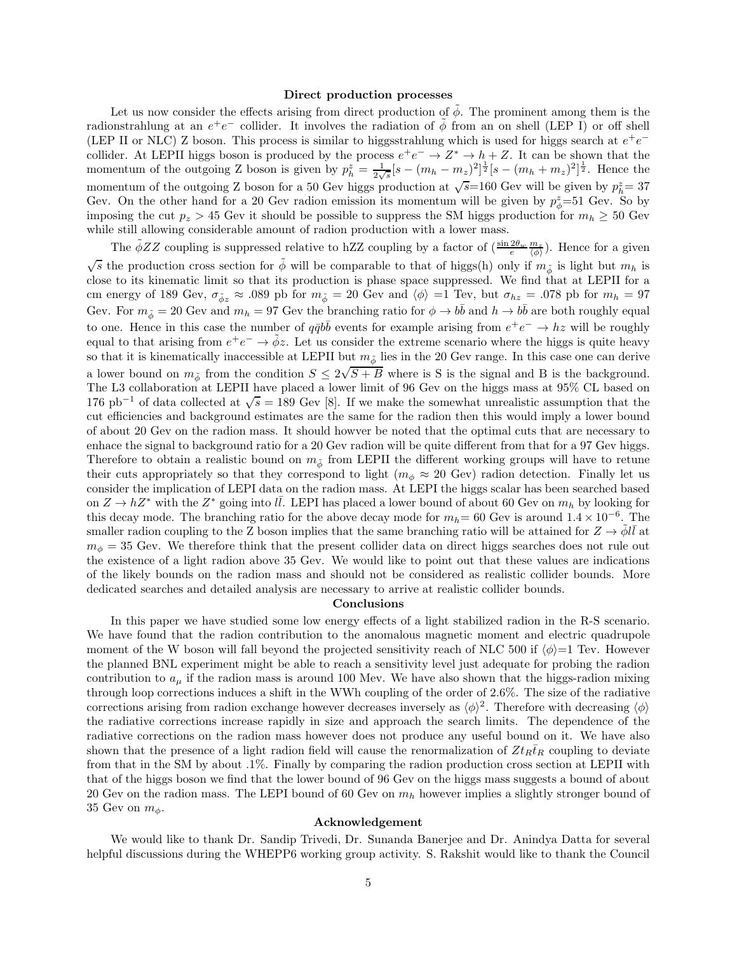#### Direct production processes

Let us now consider the effects arising from direct production of  $\tilde{\phi}$ . The prominent among them is the radionstrahlung at an  $e^+e^-$  collider. It involves the radiation of  $\tilde{\phi}$  from an on shell (LEP I) or off shell (LEP II or NLC) Z boson. This process is similar to higgsstrahlung which is used for higgs search at  $e^+e^$ collider. At LEPII higgs boson is produced by the process  $e^+e^- \to Z^* \to h+Z$ . It can be shown that the momentum of the outgoing Z boson is given by  $p_h^z = \frac{1}{2\sqrt{s}}[s - (m_h - m_z)^2]^{\frac{1}{2}}[s - (m_h + m_z)^2]^{\frac{1}{2}}$ . Hence the momentum of the outgoing Z boson for a 50 Gev higgs production at  $\sqrt{s}$ =160 Gev will be given by  $p_h^z = 37$ Gev. On the other hand for a 20 Gev radion emission its momentum will be given by  $p_{\phi}^z$ =51 Gev. So by imposing the cut  $p_z > 45$  Gev it should be possible to suppress the SM higgs production for  $m_h \geq 50$  Gev while still allowing considerable amount of radion production with a lower mass.

The  $\tilde{\phi}ZZ$  coupling is suppressed relative to hZZ coupling by a factor of  $\left(\frac{\sin 2\theta_w}{e}\frac{m_z}{\langle \phi \rangle}\right)$ . Hence for a given  $\sqrt{s}$  the production cross section for  $\phi$  will be comparable to that of higgs(h) only if  $m_{\phi}$  is light but  $m_h$  is close to its kinematic limit so that its production is phase space suppressed. We find that at LEPII for a cm energy of 189 Gev,  $\sigma_{\phi z} \approx .089$  pb for  $m_{\phi} = 20$  Gev and  $\langle \phi \rangle =1$  Tev, but  $\sigma_{hz} = .078$  pb for  $m_h = 97$ Gev. For  $m_{\tilde{\phi}} = 20$  Gev and  $m_h = 97$  Gev the branching ratio for  $\phi \to b\bar{b}$  and  $h \to b\bar{b}$  are both roughly equal to one. Hence in this case the number of  $q\bar{q}b\bar{b}$  events for example arising from  $e^+e^- \to hz$  will be roughly equal to that arising from  $e^+e^- \to \tilde{\phi}z$ . Let us consider the extreme scenario where the higgs is quite heavy so that it is kinematically inaccessible at LEPII but  $m_{\phi}$  lies in the 20 Gev range. In this case one can derive a lower bound on  $m_{\phi}$  from the condition  $S \leq 2\sqrt{S+B}$  where is S is the signal and B is the background. The L3 collaboration at LEPII have placed a lower limit of 96 Gev on the higgs mass at 95% CL based on 176 pb<sup>-1</sup> of data collected at  $\sqrt{s} = 189$  Gev [8]. If we make the somewhat unrealistic assumption that the cut efficiencies and background estimates are the same for the radion then this would imply a lower bound of about 20 Gev on the radion mass. It should howver be noted that the optimal cuts that are necessary to enhace the signal to background ratio for a 20 Gev radion will be quite different from that for a 97 Gev higgs. Therefore to obtain a realistic bound on  $m_{\tilde{\phi}}$  from LEPII the different working groups will have to retune their cuts appropriately so that they correspond to light ( $m_{\phi} \approx 20$  Gev) radion detection. Finally let us consider the implication of LEPI data on the radion mass. At LEPI the higgs scalar has been searched based on  $Z \to hZ^*$  with the  $Z^*$  going into  $l\bar{l}$ . LEPI has placed a lower bound of about 60 Gev on  $m_h$  by looking for this decay mode. The branching ratio for the above decay mode for  $m_h=60$  Gev is around  $1.4 \times 10^{-6}$ . The smaller radion coupling to the Z boson implies that the same branching ratio will be attained for  $Z \to \dot{\phi} l\bar{l}$  at  $m_{\phi} = 35$  Gev. We therefore think that the present collider data on direct higgs searches does not rule out the existence of a light radion above 35 Gev. We would like to point out that these values are indications of the likely bounds on the radion mass and should not be considered as realistic collider bounds. More dedicated searches and detailed analysis are necessary to arrive at realistic collider bounds.

## Conclusions

In this paper we have studied some low energy effects of a light stabilized radion in the R-S scenario. We have found that the radion contribution to the anomalous magnetic moment and electric quadrupole moment of the W boson will fall beyond the projected sensitivity reach of NLC 500 if  $\langle \phi \rangle = 1$  Tev. However the planned BNL experiment might be able to reach a sensitivity level just adequate for probing the radion contribution to  $a<sub>u</sub>$  if the radion mass is around 100 Mev. We have also shown that the higgs-radion mixing through loop corrections induces a shift in the WWh coupling of the order of 2.6%. The size of the radiative corrections arising from radion exchange however decreases inversely as  $\langle \phi \rangle^2$ . Therefore with decreasing  $\langle \phi \rangle$ the radiative corrections increase rapidly in size and approach the search limits. The dependence of the radiative corrections on the radion mass however does not produce any useful bound on it. We have also shown that the presence of a light radion field will cause the renormalization of  $Zt_R\bar{t}_R$  coupling to deviate from that in the SM by about .1%. Finally by comparing the radion production cross section at LEPII with that of the higgs boson we find that the lower bound of 96 Gev on the higgs mass suggests a bound of about 20 Gev on the radion mass. The LEPI bound of 60 Gev on  $m_h$  however implies a slightly stronger bound of 35 Gev on  $m_{\phi}$ .

#### Acknowledgement

We would like to thank Dr. Sandip Trivedi, Dr. Sunanda Banerjee and Dr. Anindya Datta for several helpful discussions during the WHEPP6 working group activity. S. Rakshit would like to thank the Council